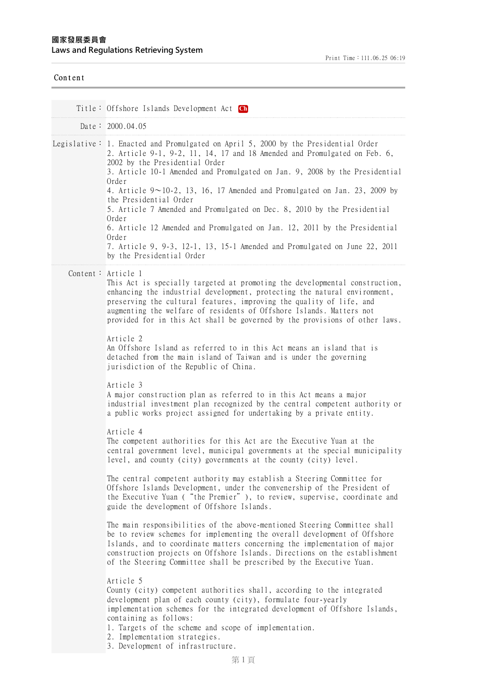| Content |                                                                                                                                                                                                                                                                                                                                                                                                                                                                                                                                                                                                                                                                                                                                                                                                                                                                                                                                                                                                                                                                                                                                                                                                                                                                                                                                                                                                                                                                                                                                                                                                                                                                                                                                                                                                                                                                                                                                                                                                                                                                                                                                                                                   |
|---------|-----------------------------------------------------------------------------------------------------------------------------------------------------------------------------------------------------------------------------------------------------------------------------------------------------------------------------------------------------------------------------------------------------------------------------------------------------------------------------------------------------------------------------------------------------------------------------------------------------------------------------------------------------------------------------------------------------------------------------------------------------------------------------------------------------------------------------------------------------------------------------------------------------------------------------------------------------------------------------------------------------------------------------------------------------------------------------------------------------------------------------------------------------------------------------------------------------------------------------------------------------------------------------------------------------------------------------------------------------------------------------------------------------------------------------------------------------------------------------------------------------------------------------------------------------------------------------------------------------------------------------------------------------------------------------------------------------------------------------------------------------------------------------------------------------------------------------------------------------------------------------------------------------------------------------------------------------------------------------------------------------------------------------------------------------------------------------------------------------------------------------------------------------------------------------------|
|         | Title: Offshore Islands Development Act Ch                                                                                                                                                                                                                                                                                                                                                                                                                                                                                                                                                                                                                                                                                                                                                                                                                                                                                                                                                                                                                                                                                                                                                                                                                                                                                                                                                                                                                                                                                                                                                                                                                                                                                                                                                                                                                                                                                                                                                                                                                                                                                                                                        |
|         | Date: 2000.04.05                                                                                                                                                                                                                                                                                                                                                                                                                                                                                                                                                                                                                                                                                                                                                                                                                                                                                                                                                                                                                                                                                                                                                                                                                                                                                                                                                                                                                                                                                                                                                                                                                                                                                                                                                                                                                                                                                                                                                                                                                                                                                                                                                                  |
|         | Legislative: 1. Enacted and Promulgated on April 5, 2000 by the Presidential Order<br>2. Article 9-1, 9-2, 11, 14, 17 and 18 Amended and Promulgated on Feb. 6,<br>2002 by the Presidential Order<br>3. Article 10-1 Amended and Promulgated on Jan. 9, 2008 by the Presidential<br>Order<br>4. Article $9 \sim 10-2$ , 13, 16, 17 Amended and Promulgated on Jan. 23, 2009 by<br>the Presidential Order<br>5. Article 7 Amended and Promulgated on Dec. 8, 2010 by the Presidential<br>Order<br>6. Article 12 Amended and Promulgated on Jan. 12, 2011 by the Presidential<br>Order<br>7. Article 9, 9-3, 12-1, 13, 15-1 Amended and Promulgated on June 22, 2011<br>by the Presidential Order                                                                                                                                                                                                                                                                                                                                                                                                                                                                                                                                                                                                                                                                                                                                                                                                                                                                                                                                                                                                                                                                                                                                                                                                                                                                                                                                                                                                                                                                                   |
|         | Content: Article 1<br>This Act is specially targeted at promoting the developmental construction,<br>enhancing the industrial development, protecting the natural environment,<br>preserving the cultural features, improving the quality of life, and<br>augmenting the welfare of residents of Offshore Islands. Matters not<br>provided for in this Act shall be governed by the provisions of other laws.<br>Article 2<br>An Offshore Island as referred to in this Act means an island that is<br>detached from the main island of Taiwan and is under the governing<br>jurisdiction of the Republic of China.<br>Article 3<br>A major construction plan as referred to in this Act means a major<br>industrial investment plan recognized by the central competent authority or<br>a public works project assigned for undertaking by a private entity.<br>Article 4<br>The competent authorities for this Act are the Executive Yuan at the<br>central government level, municipal governments at the special municipality<br>level, and county (city) governments at the county (city) level.<br>The central competent authority may establish a Steering Committee for<br>Offshore Islands Development, under the convenership of the President of<br>the Executive Yuan ("the Premier"), to review, supervise, coordinate and<br>guide the development of Offshore Islands.<br>The main responsibilities of the above-mentioned Steering Committee shall<br>be to review schemes for implementing the overall development of Offshore<br>Islands, and to coordinate matters concerning the implementation of major<br>construction projects on Offshore Islands. Directions on the establishment<br>of the Steering Committee shall be prescribed by the Executive Yuan.<br>Article 5<br>County (city) competent authorities shall, according to the integrated<br>development plan of each county (city), formulate four-yearly<br>implementation schemes for the integrated development of Offshore Islands,<br>containing as follows:<br>1. Targets of the scheme and scope of implementation.<br>2. Implementation strategies.<br>3. Development of infrastructure. |

# $\overline{C}$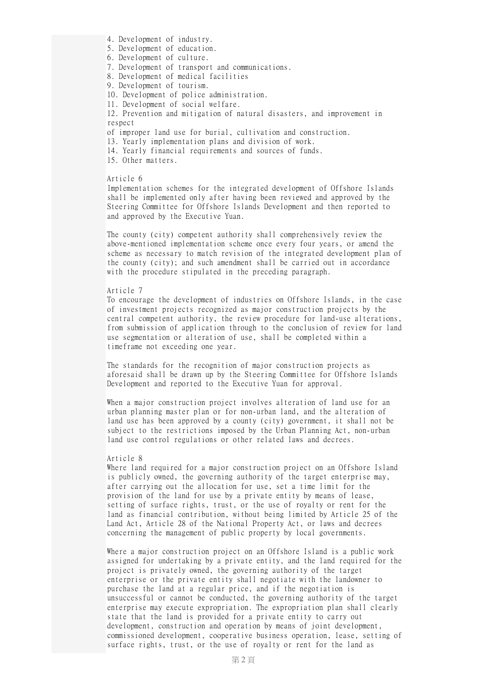- 4. Development of industry.
- 5. Development of education.
- 6. Development of culture.
- 7. Development of transport and communications.
- 8. Development of medical facilities
- 9. Development of tourism.
- 10. Development of police administration.
- 11. Development of social welfare.

12. Prevention and mitigation of natural disasters, and improvement in respect

of improper land use for burial, cultivation and construction.

13. Yearly implementation plans and division of work.

14. Yearly financial requirements and sources of funds.

15. Other matters.

#### Article 6

Implementation schemes for the integrated development of Offshore Islands shall be implemented only after having been reviewed and approved by the Steering Committee for Offshore Islands Development and then reported to and approved by the Executive Yuan.

The county (city) competent authority shall comprehensively review the above-mentioned implementation scheme once every four years, or amend the scheme as necessary to match revision of the integrated development plan of the county (city); and such amendment shall be carried out in accordance with the procedure stipulated in the preceding paragraph.

## Article 7

To encourage the development of industries on Offshore Islands, in the case of investment projects recognized as major construction projects by the central competent authority, the review procedure for land-use alterations, from submission of application through to the conclusion of review for land use segmentation or alteration of use, shall be completed within a timeframe not exceeding one year.

The standards for the recognition of major construction projects as aforesaid shall be drawn up by the Steering Committee for Offshore Islands Development and reported to the Executive Yuan for approval.

When a major construction project involves alteration of land use for an urban planning master plan or for non-urban land, and the alteration of land use has been approved by a county (city) government, it shall not be subject to the restrictions imposed by the Urban Planning Act, non-urban land use control regulations or other related laws and decrees.

#### Article 8

Where land required for a major construction project on an Offshore Island is publicly owned, the governing authority of the target enterprise may, after carrying out the allocation for use, set a time limit for the provision of the land for use by a private entity by means of lease, setting of surface rights, trust, or the use of royalty or rent for the land as financial contribution, without being limited by Article 25 of the Land Act, Article 28 of the National Property Act, or laws and decrees concerning the management of public property by local governments.

Where a major construction project on an Offshore Island is a public work assigned for undertaking by a private entity, and the land required for the project is privately owned, the governing authority of the target enterprise or the private entity shall negotiate with the landowner to purchase the land at a regular price, and if the negotiation is unsuccessful or cannot be conducted, the governing authority of the target enterprise may execute expropriation. The expropriation plan shall clearly state that the land is provided for a private entity to carry out development, construction and operation by means of joint development, commissioned development, cooperative business operation, lease, setting of surface rights, trust, or the use of royalty or rent for the land as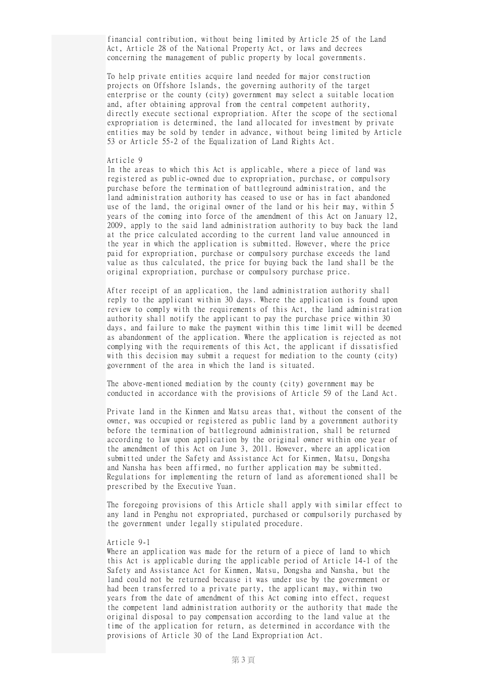financial contribution, without being limited by Article 25 of the Land Act, Article 28 of the National Property Act, or laws and decrees concerning the management of public property by local governments.

To help private entities acquire land needed for major construction projects on Offshore Islands, the governing authority of the target enterprise or the county (city) government may select a suitable location and, after obtaining approval from the central competent authority, directly execute sectional expropriation. After the scope of the sectional expropriation is determined, the land allocated for investment by private entities may be sold by tender in advance, without being limited by Article 53 or Article 55-2 of the Equalization of Land Rights Act.

## Article 9

In the areas to which this Act is applicable, where a piece of land was registered as public-owned due to expropriation, purchase, or compulsory purchase before the termination of battleground administration, and the land administration authority has ceased to use or has in fact abandoned use of the land, the original owner of the land or his heir may, within 5 years of the coming into force of the amendment of this Act on January 12, 2009, apply to the said land administration authority to buy back the land at the price calculated according to the current land value announced in the year in which the application is submitted. However, where the price paid for expropriation, purchase or compulsory purchase exceeds the land value as thus calculated, the price for buying back the land shall be the original expropriation, purchase or compulsory purchase price.

After receipt of an application, the land administration authority shall reply to the applicant within 30 days. Where the application is found upon review to comply with the requirements of this Act, the land administration authority shall notify the applicant to pay the purchase price within 30 days, and failure to make the payment within this time limit will be deemed as abandonment of the application. Where the application is rejected as not complying with the requirements of this Act, the applicant if dissatisfied with this decision may submit a request for mediation to the county (city) government of the area in which the land is situated.

The above-mentioned mediation by the county (city) government may be conducted in accordance with the provisions of Article 59 of the Land Act.

Private land in the Kinmen and Matsu areas that, without the consent of the owner, was occupied or registered as public land by a government authority before the termination of battleground administration, shall be returned according to law upon application by the original owner within one year of the amendment of this Act on June 3, 2011. However, where an application submitted under the Safety and Assistance Act for Kinmen, Matsu, Dongsha and Nansha has been affirmed, no further application may be submitted. Regulations for implementing the return of land as aforementioned shall be prescribed by the Executive Yuan.

The foregoing provisions of this Article shall apply with similar effect to any land in Penghu not expropriated, purchased or compulsorily purchased by the government under legally stipulated procedure.

#### Article 9-1

Where an application was made for the return of a piece of land to which this Act is applicable during the applicable period of Article 14-1 of the Safety and Assistance Act for Kinmen, Matsu, Dongsha and Nansha, but the land could not be returned because it was under use by the government or had been transferred to a private party, the applicant may, within two years from the date of amendment of this Act coming into effect, request the competent land administration authority or the authority that made the original disposal to pay compensation according to the land value at the time of the application for return, as determined in accordance with the provisions of Article 30 of the Land Expropriation Act.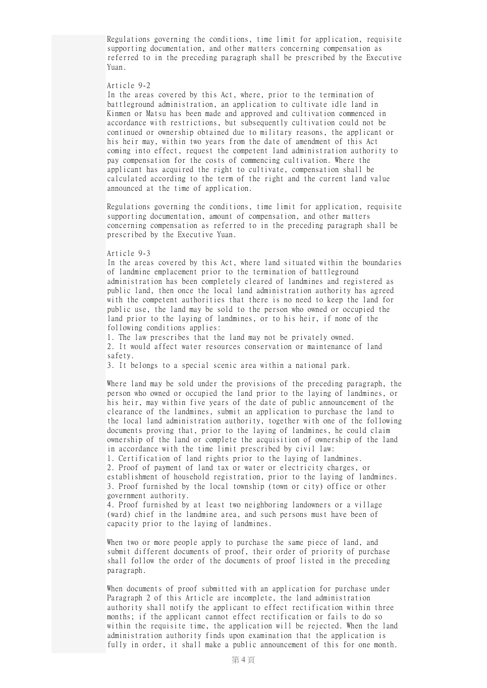Regulations governing the conditions, time limit for application, requisite supporting documentation, and other matters concerning compensation as referred to in the preceding paragraph shall be prescribed by the Executive Yuan.

## Article 9-2

In the areas covered by this Act, where, prior to the termination of battleground administration, an application to cultivate idle land in Kinmen or Matsu has been made and approved and cultivation commenced in accordance with restrictions, but subsequently cultivation could not be continued or ownership obtained due to military reasons, the applicant or his heir may, within two years from the date of amendment of this Act coming into effect, request the competent land administration authority to pay compensation for the costs of commencing cultivation. Where the applicant has acquired the right to cultivate, compensation shall be calculated according to the term of the right and the current land value announced at the time of application.

Regulations governing the conditions, time limit for application, requisite supporting documentation, amount of compensation, and other matters concerning compensation as referred to in the preceding paragraph shall be prescribed by the Executive Yuan.

## Article 9-3

In the areas covered by this Act, where land situated within the boundaries of landmine emplacement prior to the termination of battleground administration has been completely cleared of landmines and registered as public land, then once the local land administration authority has agreed with the competent authorities that there is no need to keep the land for public use, the land may be sold to the person who owned or occupied the land prior to the laying of landmines, or to his heir, if none of the following conditions applies:

1. The law prescribes that the land may not be privately owned. 2. It would affect water resources conservation or maintenance of land safety.

3. It belongs to a special scenic area within a national park.

Where land may be sold under the provisions of the preceding paragraph, the person who owned or occupied the land prior to the laying of landmines, or his heir, may within five years of the date of public announcement of the clearance of the landmines, submit an application to purchase the land to the local land administration authority, together with one of the following documents proving that, prior to the laying of landmines, he could claim ownership of the land or complete the acquisition of ownership of the land in accordance with the time limit prescribed by civil law:

1. Certification of land rights prior to the laying of landmines. 2. Proof of payment of land tax or water or electricity charges, or establishment of household registration, prior to the laying of landmines. 3. Proof furnished by the local township (town or city) office or other government authority.

4. Proof furnished by at least two neighboring landowners or a village (ward) chief in the landmine area, and such persons must have been of capacity prior to the laying of landmines.

When two or more people apply to purchase the same piece of land, and submit different documents of proof, their order of priority of purchase shall follow the order of the documents of proof listed in the preceding paragraph.

When documents of proof submitted with an application for purchase under Paragraph 2 of this Article are incomplete, the land administration authority shall notify the applicant to effect rectification within three months; if the applicant cannot effect rectification or fails to do so within the requisite time, the application will be rejected. When the land administration authority finds upon examination that the application is fully in order, it shall make a public announcement of this for one month.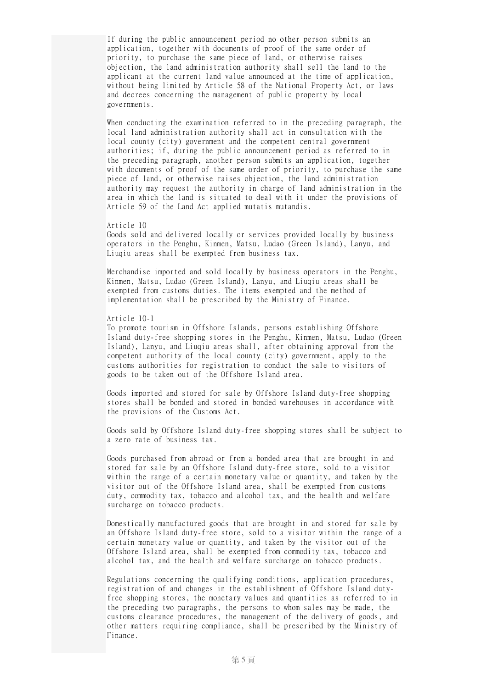If during the public announcement period no other person submits an application, together with documents of proof of the same order of priority, to purchase the same piece of land, or otherwise raises objection, the land administration authority shall sell the land to the applicant at the current land value announced at the time of application, without being limited by Article 58 of the National Property Act, or laws and decrees concerning the management of public property by local governments.

When conducting the examination referred to in the preceding paragraph, the local land administration authority shall act in consultation with the local county (city) government and the competent central government authorities; if, during the public announcement period as referred to in the preceding paragraph, another person submits an application, together with documents of proof of the same order of priority, to purchase the same piece of land, or otherwise raises objection, the land administration authority may request the authority in charge of land administration in the area in which the land is situated to deal with it under the provisions of Article 59 of the Land Act applied mutatis mutandis.

## Article 10

Goods sold and delivered locally or services provided locally by business operators in the Penghu, Kinmen, Matsu, Ludao (Green Island), Lanyu, and Liuqiu areas shall be exempted from business tax.

Merchandise imported and sold locally by business operators in the Penghu, Kinmen, Matsu, Ludao (Green Island), Lanyu, and Liuqiu areas shall be exempted from customs duties. The items exempted and the method of implementation shall be prescribed by the Ministry of Finance.

## Article 10-1

To promote tourism in Offshore Islands, persons establishing Offshore Island duty-free shopping stores in the Penghu, Kinmen, Matsu, Ludao (Green Island), Lanyu, and Liuqiu areas shall, after obtaining approval from the competent authority of the local county (city) government, apply to the customs authorities for registration to conduct the sale to visitors of goods to be taken out of the Offshore Island area.

Goods imported and stored for sale by Offshore Island duty-free shopping stores shall be bonded and stored in bonded warehouses in accordance with the provisions of the Customs Act.

Goods sold by Offshore Island duty-free shopping stores shall be subject to a zero rate of business tax.

Goods purchased from abroad or from a bonded area that are brought in and stored for sale by an Offshore Island duty-free store, sold to a visitor within the range of a certain monetary value or quantity, and taken by the visitor out of the Offshore Island area, shall be exempted from customs duty, commodity tax, tobacco and alcohol tax, and the health and welfare surcharge on tobacco products.

Domestically manufactured goods that are brought in and stored for sale by an Offshore Island duty-free store, sold to a visitor within the range of a certain monetary value or quantity, and taken by the visitor out of the Offshore Island area, shall be exempted from commodity tax, tobacco and alcohol tax, and the health and welfare surcharge on tobacco products.

Regulations concerning the qualifying conditions, application procedures, registration of and changes in the establishment of Offshore Island dutyfree shopping stores, the monetary values and quantities as referred to in the preceding two paragraphs, the persons to whom sales may be made, the customs clearance procedures, the management of the delivery of goods, and other matters requiring compliance, shall be prescribed by the Ministry of Finance.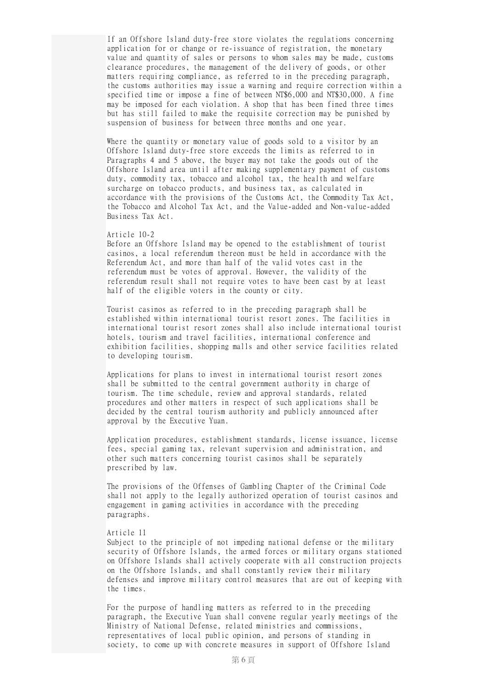If an Offshore Island duty-free store violates the regulations concerning application for or change or re-issuance of registration, the monetary value and quantity of sales or persons to whom sales may be made, customs clearance procedures, the management of the delivery of goods, or other matters requiring compliance, as referred to in the preceding paragraph, the customs authorities may issue a warning and require correction within a specified time or impose a fine of between NT\$6,000 and NT\$30,000. A fine may be imposed for each violation. A shop that has been fined three times but has still failed to make the requisite correction may be punished by suspension of business for between three months and one year.

Where the quantity or monetary value of goods sold to a visitor by an Offshore Island duty-free store exceeds the limits as referred to in Paragraphs 4 and 5 above, the buyer may not take the goods out of the Offshore Island area until after making supplementary payment of customs duty, commodity tax, tobacco and alcohol tax, the health and welfare surcharge on tobacco products, and business tax, as calculated in accordance with the provisions of the Customs Act, the Commodity Tax Act, the Tobacco and Alcohol Tax Act, and the Value-added and Non-value-added Business Tax Act.

## Article 10-2

Before an Offshore Island may be opened to the establishment of tourist casinos, a local referendum thereon must be held in accordance with the Referendum Act, and more than half of the valid votes cast in the referendum must be votes of approval. However, the validity of the referendum result shall not require votes to have been cast by at least half of the eligible voters in the county or city.

Tourist casinos as referred to in the preceding paragraph shall be established within international tourist resort zones. The facilities in international tourist resort zones shall also include international tourist hotels, tourism and travel facilities, international conference and exhibition facilities, shopping malls and other service facilities related to developing tourism.

Applications for plans to invest in international tourist resort zones shall be submitted to the central government authority in charge of tourism. The time schedule, review and approval standards, related procedures and other matters in respect of such applications shall be decided by the central tourism authority and publicly announced after approval by the Executive Yuan.

Application procedures, establishment standards, license issuance, license fees, special gaming tax, relevant supervision and administration, and other such matters concerning tourist casinos shall be separately prescribed by law.

The provisions of the Offenses of Gambling Chapter of the Criminal Code shall not apply to the legally authorized operation of tourist casinos and engagement in gaming activities in accordance with the preceding paragraphs.

#### Article 11

Subject to the principle of not impeding national defense or the military security of Offshore Islands, the armed forces or military organs stationed on Offshore Islands shall actively cooperate with all construction projects on the Offshore Islands, and shall constantly review their military defenses and improve military control measures that are out of keeping with the times.

For the purpose of handling matters as referred to in the preceding paragraph, the Executive Yuan shall convene regular yearly meetings of the Ministry of National Defense, related ministries and commissions, representatives of local public opinion, and persons of standing in society, to come up with concrete measures in support of Offshore Island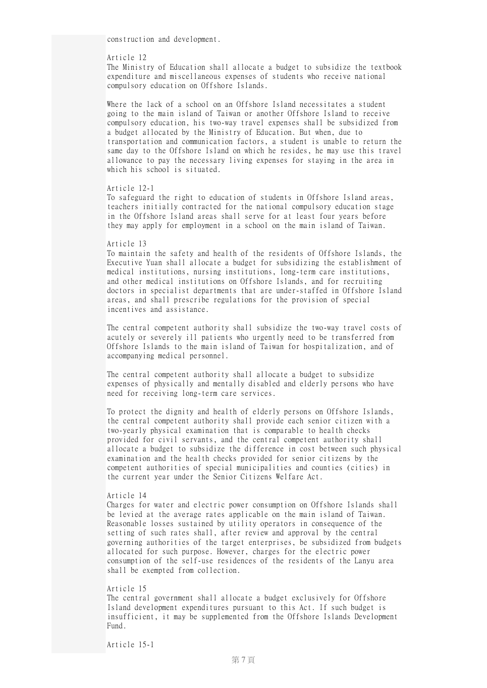construction and development.

# Article 12

The Ministry of Education shall allocate a budget to subsidize the textbook expenditure and miscellaneous expenses of students who receive national compulsory education on Offshore Islands.

Where the lack of a school on an Offshore Island necessitates a student going to the main island of Taiwan or another Offshore Island to receive compulsory education, his two-way travel expenses shall be subsidized from a budget allocated by the Ministry of Education. But when, due to transportation and communication factors, a student is unable to return the same day to the Offshore Island on which he resides, he may use this travel allowance to pay the necessary living expenses for staying in the area in which his school is situated.

## Article 12-1

To safeguard the right to education of students in Offshore Island areas, teachers initially contracted for the national compulsory education stage in the Offshore Island areas shall serve for at least four years before they may apply for employment in a school on the main island of Taiwan.

## Article 13

To maintain the safety and health of the residents of Offshore Islands, the Executive Yuan shall allocate a budget for subsidizing the establishment of medical institutions, nursing institutions, long-term care institutions, and other medical institutions on Offshore Islands, and for recruiting doctors in specialist departments that are under-staffed in Offshore Island areas, and shall prescribe regulations for the provision of special incentives and assistance.

The central competent authority shall subsidize the two-way travel costs of acutely or severely ill patients who urgently need to be transferred from Offshore Islands to the main island of Taiwan for hospitalization, and of accompanying medical personnel.

The central competent authority shall allocate a budget to subsidize expenses of physically and mentally disabled and elderly persons who have need for receiving long-term care services.

To protect the dignity and health of elderly persons on Offshore Islands, the central competent authority shall provide each senior citizen with a two-yearly physical examination that is comparable to health checks provided for civil servants, and the central competent authority shall allocate a budget to subsidize the difference in cost between such physical examination and the health checks provided for senior citizens by the competent authorities of special municipalities and counties (cities) in the current year under the Senior Citizens Welfare Act.

## Article 14

Charges for water and electric power consumption on Offshore Islands shall be levied at the average rates applicable on the main island of Taiwan. Reasonable losses sustained by utility operators in consequence of the setting of such rates shall, after review and approval by the central governing authorities of the target enterprises, be subsidized from budgets allocated for such purpose. However, charges for the electric power consumption of the self-use residences of the residents of the Lanyu area shall be exempted from collection.

## Article 15 The central government shall allocate a budget exclusively for Offshore Island development expenditures pursuant to this Act. If such budget is insufficient, it may be supplemented from the Offshore Islands Development Fund.

Article 15-1